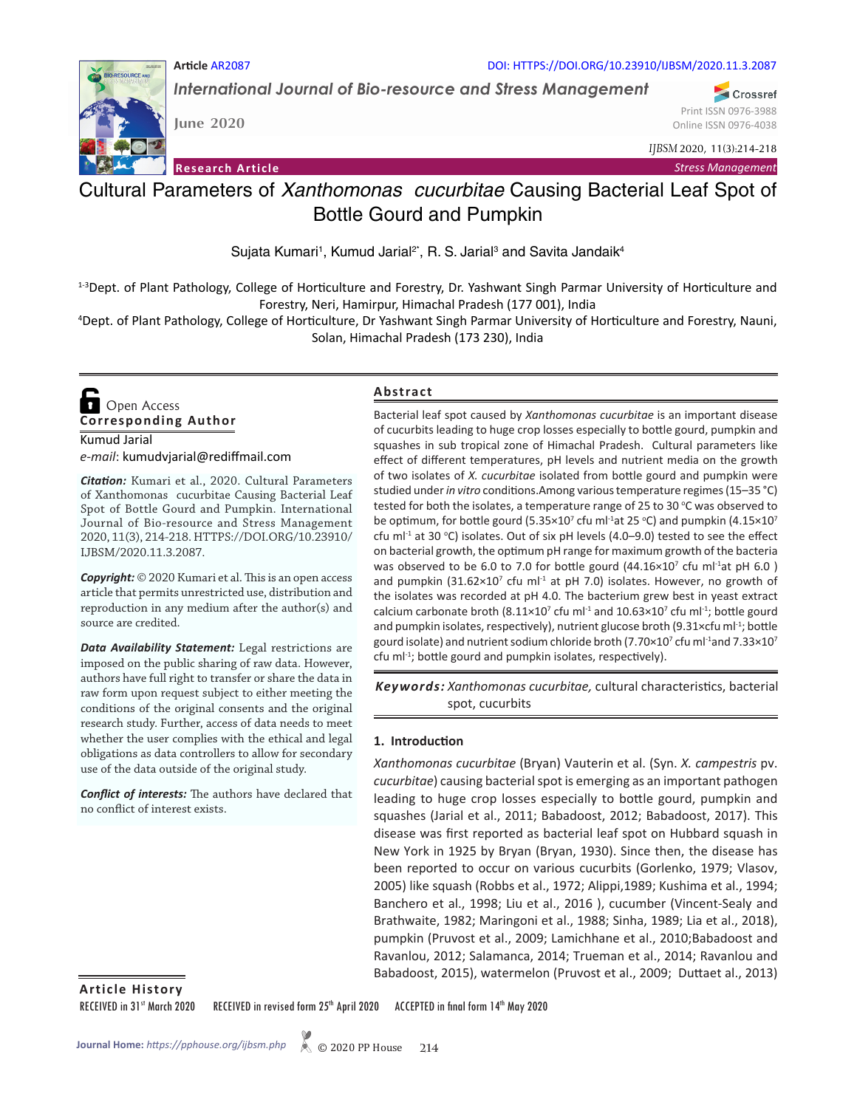

*International Journal of Bio-resource and Stress Management*

**RESOURCE AND** 

**June 2020**

**Article** AR2087

**Research Article**

*IJBSM* 2020, 11(3):214-218

*Stress Management*

Print ISSN 0976-3988 Online ISSN 0976-4038

Crossref

# Cultural Parameters of *Xanthomonas cucurbitae* Causing Bacterial Leaf Spot of Bottle Gourd and Pumpkin

Sujata Kumari<sup>1</sup>, Kumud Jarial<sup>2\*</sup>, R. S. Jarial<sup>3</sup> and Savita Jandaik<sup>4</sup>

<sup>1-3</sup>Dept. of Plant Pathology, College of Horticulture and Forestry, Dr. Yashwant Singh Parmar University of Horticulture and Forestry, Neri, Hamirpur, Himachal Pradesh (177 001), India

4 Dept. of Plant Pathology, College of Horticulture, Dr Yashwant Singh Parmar University of Horticulture and Forestry, Nauni, Solan, Himachal Pradesh (173 230), India

**Corresponding Author**  Open Access

Kumud Jarial *e-mail*: kumudvjarial@rediffmail.com

*Citation:* Kumari et al., 2020. Cultural Parameters of Xanthomonas cucurbitae Causing Bacterial Leaf Spot of Bottle Gourd and Pumpkin. International Journal of Bio-resource and Stress Management 2020, 11(3), 214-218. HTTPS://DOI.ORG/10.23910/ IJBSM/2020.11.3.2087.

*Copyright:* © 2020 Kumari et al. This is an open access article that permits unrestricted use, distribution and reproduction in any medium after the author(s) and source are credited.

*Data Availability Statement:* Legal restrictions are imposed on the public sharing of raw data. However, authors have full right to transfer or share the data in raw form upon request subject to either meeting the conditions of the original consents and the original research study. Further, access of data needs to meet whether the user complies with the ethical and legal obligations as data controllers to allow for secondary use of the data outside of the original study.

*Conflict of interests:* The authors have declared that no conflict of interest exists.

#### **Abstract**

Bacterial leaf spot caused by *Xanthomonas cucurbitae* is an important disease of cucurbits leading to huge crop losses especially to bottle gourd, pumpkin and squashes in sub tropical zone of Himachal Pradesh. Cultural parameters like effect of different temperatures, pH levels and nutrient media on the growth of two isolates of *X. cucurbitae* isolated from bottle gourd and pumpkin were studied under *in vitro* conditions.Among various temperature regimes (15–35 °C) tested for both the isolates, a temperature range of 25 to 30  $°C$  was observed to be optimum, for bottle gourd (5.35 $\times$ 10<sup>7</sup> cfu ml<sup>-1</sup>at 25 °C) and pumpkin (4.15 $\times$ 10<sup>7</sup> cfu ml<sup>-1</sup> at 30 °C) isolates. Out of six pH levels (4.0–9.0) tested to see the effect on bacterial growth, the optimum pH range for maximum growth of the bacteria was observed to be 6.0 to 7.0 for bottle gourd  $(44.16\times10^{7}$  cfu ml<sup>-1</sup>at pH 6.0) and pumpkin  $(31.62\times10^7 \text{ c}$ fu ml<sup>-1</sup> at pH 7.0) isolates. However, no growth of the isolates was recorded at pH 4.0. The bacterium grew best in yeast extract calcium carbonate broth (8.11×10<sup>7</sup> cfu ml<sup>-1</sup> and 10.63×10<sup>7</sup> cfu ml<sup>-1</sup>; bottle gourd and pumpkin isolates, respectively), nutrient glucose broth (9.31 $\times$ cfu ml<sup>-1</sup>; bottle gourd isolate) and nutrient sodium chloride broth (7.70 $\times$ 10<sup>7</sup> cfu ml<sup>-1</sup>and 7.33 $\times$ 10<sup>7</sup>  $c$ fu m $I^{-1}$ ; bottle gourd and pumpkin isolates, respectively).

*Xanthomonas cucurbitae,* cultural characteristics, bacterial *Keywords:*  spot, cucurbits

#### **1. Introduction**

*Xanthomonas cucurbitae* (Bryan) Vauterin et al. (Syn. *X. campestris* pv. *cucurbitae*) causing bacterial spot is emerging as an important pathogen leading to huge crop losses especially to bottle gourd, pumpkin and squashes (Jarial et al., 2011; Babadoost, 2012; Babadoost, 2017). This disease was first reported as bacterial leaf spot on Hubbard squash in New York in 1925 by Bryan (Bryan, 1930). Since then, the disease has been reported to occur on various cucurbits (Gorlenko, 1979; Vlasov, 2005) like squash (Robbs et al., 1972; Alippi,1989; Kushima et al., 1994; Banchero et al., 1998; Liu et al., 2016 ), cucumber (Vincent-Sealy and Brathwaite, 1982; Maringoni et al., 1988; Sinha, 1989; Lia et al., 2018), pumpkin (Pruvost et al., 2009; Lamichhane et al., 2010;Babadoost and Ravanlou, 2012; Salamanca, 2014; Trueman et al., 2014; Ravanlou and Babadoost, 2015), watermelon (Pruvost et al., 2009; Duttaet al., 2013)

**Article History**

RECEIVED in 31st March 2020 RECEIVED in revised form 25th April 2020 ACCEPTED in final form 14th May 2020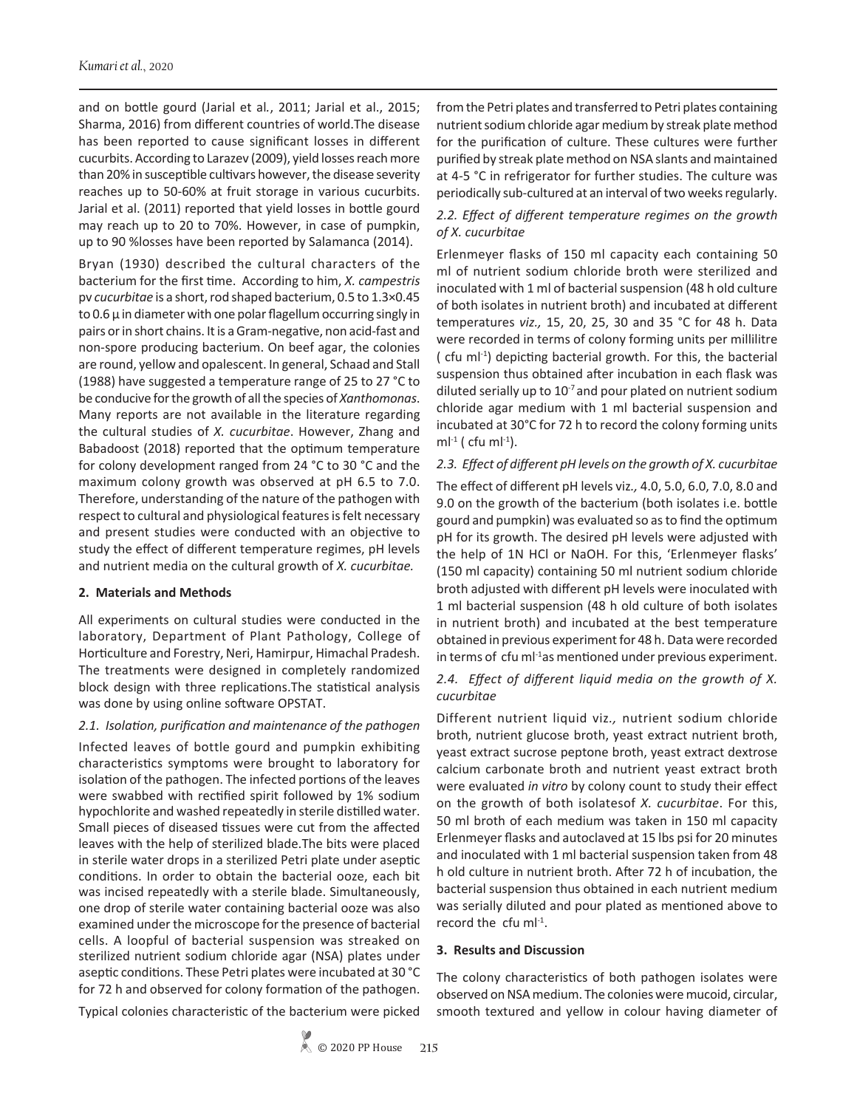and on bottle gourd (Jarial et al*.*, 2011; Jarial et al., 2015; Sharma, 2016) from different countries of world.The disease has been reported to cause significant losses in different cucurbits. According to Larazev (2009), yield losses reach more than 20% in susceptible cultivars however, the disease severity reaches up to 50-60% at fruit storage in various cucurbits. Jarial et al. (2011) reported that yield losses in bottle gourd may reach up to 20 to 70%. However, in case of pumpkin, up to 90 %losses have been reported by Salamanca (2014).

Bryan (1930) described the cultural characters of the bacterium for the first time. According to him, *X. campestris*  pv *cucurbitae* is a short, rod shaped bacterium, 0.5 to 1.3×0.45 to  $0.6 \mu$  in diameter with one polar flagellum occurring singly in pairs or in short chains. It is a Gram-negative, non acid-fast and non-spore producing bacterium. On beef agar, the colonies are round, yellow and opalescent. In general, Schaad and Stall (1988) have suggested a temperature range of 25 to 27 °C to be conducive for the growth of all the species of *Xanthomonas*. Many reports are not available in the literature regarding the cultural studies of *X. cucurbitae*. However, Zhang and Babadoost (2018) reported that the optimum temperature for colony development ranged from 24 °C to 30 °C and the maximum colony growth was observed at pH 6.5 to 7.0. Therefore, understanding of the nature of the pathogen with respect to cultural and physiological features is felt necessary and present studies were conducted with an objective to study the effect of different temperature regimes, pH levels and nutrient media on the cultural growth of *X. cucurbitae.*

## **2. Materials and Methods**

All experiments on cultural studies were conducted in the laboratory, Department of Plant Pathology, College of Horticulture and Forestry, Neri, Hamirpur, Himachal Pradesh. The treatments were designed in completely randomized block design with three replications.The statistical analysis was done by using online software OPSTAT.

#### *2.1. Isolation, purification and maintenance of the pathogen*

Infected leaves of bottle gourd and pumpkin exhibiting characteristics symptoms were brought to laboratory for isolation of the pathogen. The infected portions of the leaves were swabbed with rectified spirit followed by 1% sodium hypochlorite and washed repeatedly in sterile distilled water. Small pieces of diseased tissues were cut from the affected leaves with the help of sterilized blade.The bits were placed in sterile water drops in a sterilized Petri plate under aseptic conditions. In order to obtain the bacterial ooze, each bit was incised repeatedly with a sterile blade. Simultaneously, one drop of sterile water containing bacterial ooze was also examined under the microscope for the presence of bacterial cells. A loopful of bacterial suspension was streaked on sterilized nutrient sodium chloride agar (NSA) plates under aseptic conditions. These Petri plates were incubated at 30 °C for 72 h and observed for colony formation of the pathogen.

Typical colonies characteristic of the bacterium were picked

from the Petri plates and transferred to Petri plates containing nutrient sodium chloride agar medium by streak plate method for the purification of culture. These cultures were further purified by streak plate method on NSA slants and maintained at 4-5 °C in refrigerator for further studies. The culture was periodically sub-cultured at an interval of two weeks regularly.

# *2.2. Effect of different temperature regimes on the growth of X. cucurbitae*

Erlenmeyer flasks of 150 ml capacity each containing 50 ml of nutrient sodium chloride broth were sterilized and inoculated with 1 ml of bacterial suspension (48 h old culture of both isolates in nutrient broth) and incubated at different temperatures *viz.,* 15, 20, 25, 30 and 35 °C for 48 h. Data were recorded in terms of colony forming units per millilitre ( cfu m $I<sup>-1</sup>$ ) depicting bacterial growth. For this, the bacterial suspension thus obtained after incubation in each flask was diluted serially up to  $10^{-7}$  and pour plated on nutrient sodium chloride agar medium with 1 ml bacterial suspension and incubated at 30°C for 72 h to record the colony forming units m $l^{-1}$  ( cfu m $l^{-1}$ ).

## *2.3. Effect of different pH levels on the growth of X. cucurbitae*

The effect of different pH levels viz*.,* 4.0, 5.0, 6.0, 7.0, 8.0 and 9.0 on the growth of the bacterium (both isolates i.e. bottle gourd and pumpkin) was evaluated so as to find the optimum pH for its growth. The desired pH levels were adjusted with the help of 1N HCl or NaOH. For this, 'Erlenmeyer flasks' (150 ml capacity) containing 50 ml nutrient sodium chloride broth adjusted with different pH levels were inoculated with 1 ml bacterial suspension (48 h old culture of both isolates in nutrient broth) and incubated at the best temperature obtained in previous experiment for 48 h. Data were recorded in terms of cfu m $l^{-1}$ as mentioned under previous experiment.

# *2.4. Effect of different liquid media on the growth of X. cucurbitae*

Different nutrient liquid viz*.,* nutrient sodium chloride broth, nutrient glucose broth, yeast extract nutrient broth, yeast extract sucrose peptone broth, yeast extract dextrose calcium carbonate broth and nutrient yeast extract broth were evaluated *in vitro* by colony count to study their effect on the growth of both isolatesof *X. cucurbitae*. For this, 50 ml broth of each medium was taken in 150 ml capacity Erlenmeyer flasks and autoclaved at 15 lbs psi for 20 minutes and inoculated with 1 ml bacterial suspension taken from 48 h old culture in nutrient broth. After 72 h of incubation, the bacterial suspension thus obtained in each nutrient medium was serially diluted and pour plated as mentioned above to record the cfu ml<sup>-1</sup>.

#### **3. Results and Discussion**

The colony characteristics of both pathogen isolates were observed on NSA medium. The colonies were mucoid, circular, smooth textured and yellow in colour having diameter of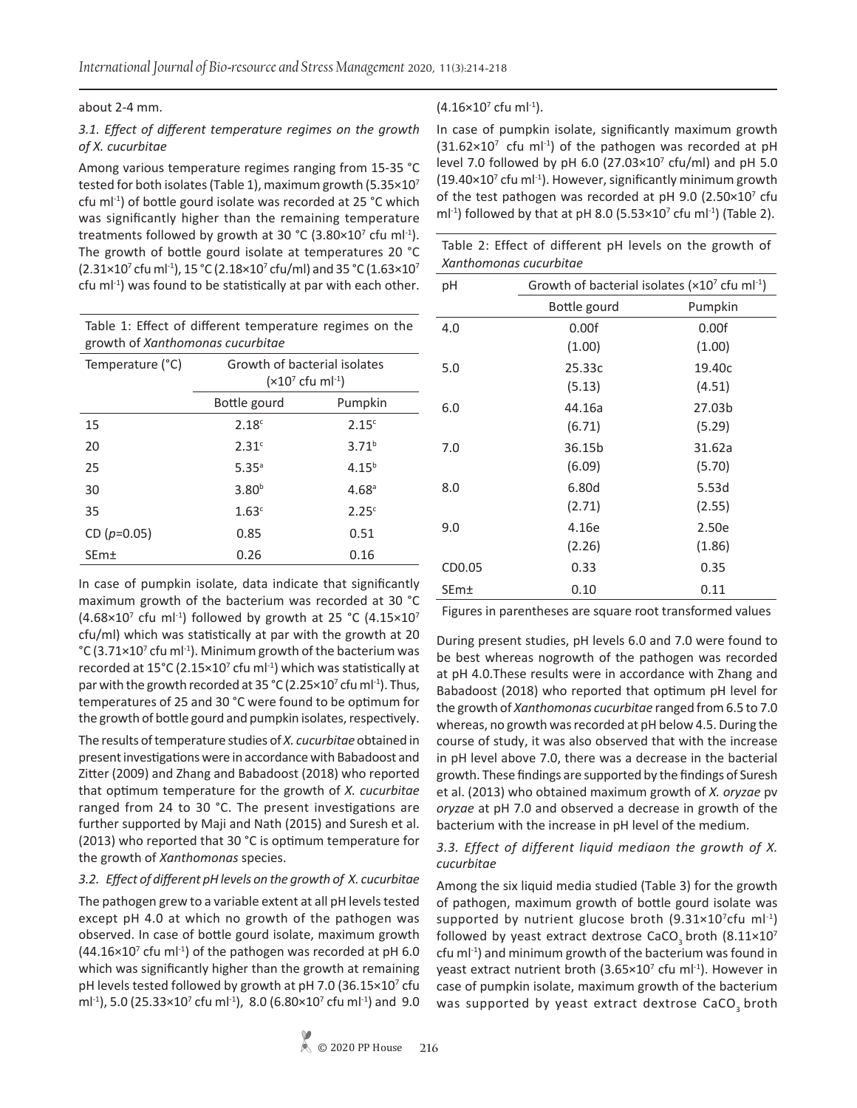about 2-4 mm.

#### *3.1. Effect of different temperature regimes on the growth of X. cucurbitae*

Among various temperature regimes ranging from 15-35 °C tested for both isolates (Table 1), maximum growth (5.35×107 cfu ml-1) of bottle gourd isolate was recorded at 25 °C which was significantly higher than the remaining temperature treatments followed by growth at 30  $^{\circ}$ C (3.80×10<sup>7</sup> cfu ml<sup>-1</sup>). The growth of bottle gourd isolate at temperatures 20 °C (2.31×10<sup>7</sup> cfu ml<sup>-1</sup>), 15 °C (2.18×10<sup>7</sup> cfu/ml) and 35 °C (1.63×10<sup>7</sup>  $c$ fu m $I<sup>-1</sup>$ ) was found to be statistically at par with each other.

| Table 1: Effect of different temperature regimes on the |  |
|---------------------------------------------------------|--|
| growth of Xanthomonas cucurbitae                        |  |

| Temperature (°C)        | Growth of bacterial isolates<br>$(x10^7 \text{ cft} \text{ ml}^{-1})$ |                   |
|-------------------------|-----------------------------------------------------------------------|-------------------|
|                         | Bottle gourd                                                          | Pumpkin           |
| 15                      | 2.18 <sup>c</sup>                                                     | 2.15 <sup>c</sup> |
| 20                      | 2.31c                                                                 | $3.71^{b}$        |
| 25                      | $5.35^{\circ}$                                                        | $4.15^{b}$        |
| 30                      | 3.80 <sup>b</sup>                                                     | 4.68 <sup>a</sup> |
| 35                      | 1.63 <sup>c</sup>                                                     | 2.25 <sup>c</sup> |
| CD $(p=0.05)$           | 0.85                                                                  | 0.51              |
| <b>SEm</b> <sup>+</sup> | 0.26                                                                  | 0.16              |

In case of pumpkin isolate, data indicate that significantly maximum growth of the bacterium was recorded at 30 °C (4.68 $\times$ 10<sup>7</sup> cfu ml<sup>-1</sup>) followed by growth at 25 °C (4.15 $\times$ 10<sup>7</sup> cfu/ml) which was statistically at par with the growth at 20 °C (3.71×10<sup>7</sup> cfu ml<sup>-1</sup>). Minimum growth of the bacterium was recorded at  $15^{\circ}$ C (2.15×10<sup>7</sup> cfu ml<sup>-1</sup>) which was statistically at par with the growth recorded at 35  $^{\circ}$ C (2.25×10<sup>7</sup> cfu ml<sup>-1</sup>). Thus, temperatures of 25 and 30 °C were found to be optimum for the growth of bottle gourd and pumpkin isolates, respectively.

The results of temperature studies of *X. cucurbitae* obtained in present investigations were in accordance with Babadoost and Zitter (2009) and Zhang and Babadoost (2018) who reported that optimum temperature for the growth of *X. cucurbitae*  ranged from 24 to 30 °C. The present investigations are further supported by Maji and Nath (2015) and Suresh et al. (2013) who reported that 30 °C is optimum temperature for the growth of *Xanthomonas* species.

## *3.2. Effect of different pH levels on the growth of X. cucurbitae*

The pathogen grew to a variable extent at all pH levels tested except pH 4.0 at which no growth of the pathogen was observed. In case of bottle gourd isolate, maximum growth  $(44.16\times10^{7}$  cfu ml<sup>-1</sup>) of the pathogen was recorded at pH 6.0 which was significantly higher than the growth at remaining pH levels tested followed by growth at pH 7.0 (36.15×10<sup>7</sup> cfu ml<sup>-1</sup>), 5.0 (25.33×10<sup>7</sup> cfu ml<sup>-1</sup>), 8.0 (6.80×10<sup>7</sup> cfu ml<sup>-1</sup>) and 9.0

## $(4.16\times10^{7}$  cfu ml<sup>-1</sup>).

In case of pumpkin isolate, significantly maximum growth  $(31.62\times10^7 \text{ cftm})^{-1}$  of the pathogen was recorded at pH level 7.0 followed by pH 6.0  $(27.03 \times 10^7 \text{ cftt/ml})$  and pH 5.0  $(19.40 \times 10^{7}$  cfu ml<sup>-1</sup>). However, significantly minimum growth of the test pathogen was recorded at pH 9.0  $(2.50 \times 10^7 \text{ c}$ fu ml<sup>-1</sup>) followed by that at pH 8.0 (5.53 $\times$ 10<sup>7</sup> cfu ml<sup>-1</sup>) (Table 2).

|                        | Table 2: Effect of different pH levels on the growth of |
|------------------------|---------------------------------------------------------|
| Xanthomonas cucurbitae |                                                         |

| рH     | Growth of bacterial isolates ( $\times 10^7$ cfu ml <sup>-1</sup> ) |         |  |
|--------|---------------------------------------------------------------------|---------|--|
|        | Bottle gourd                                                        | Pumpkin |  |
| 4.0    | 0.00f                                                               | 0.00f   |  |
|        | (1.00)                                                              | (1.00)  |  |
| 5.0    | 25.33c                                                              | 19.40c  |  |
|        | (5.13)                                                              | (4.51)  |  |
| 6.0    | 44.16a                                                              | 27.03b  |  |
|        | (6.71)                                                              | (5.29)  |  |
| 7.0    | 36.15b                                                              | 31.62a  |  |
|        | (6.09)                                                              | (5.70)  |  |
| 8.0    | 6.80d                                                               | 5.53d   |  |
|        | (2.71)                                                              | (2.55)  |  |
| 9.0    | 4.16e                                                               | 2.50e   |  |
|        | (2.26)                                                              | (1.86)  |  |
| CD0.05 | 0.33                                                                | 0.35    |  |
| SEm±   | 0.10                                                                | 0.11    |  |

Figures in parentheses are square root transformed values

During present studies, pH levels 6.0 and 7.0 were found to be best whereas nogrowth of the pathogen was recorded at pH 4.0.These results were in accordance with Zhang and Babadoost (2018) who reported that optimum pH level for the growth of *Xanthomonas cucurbitae* ranged from 6.5 to 7.0 whereas, no growth was recorded at pH below 4.5. During the course of study, it was also observed that with the increase in pH level above 7.0, there was a decrease in the bacterial growth. These findings are supported by the findings of Suresh et al. (2013) who obtained maximum growth of *X. oryzae* pv *oryzae* at pH 7.0 and observed a decrease in growth of the bacterium with the increase in pH level of the medium.

#### *3.3. Effect of different liquid mediaon the growth of X. cucurbitae*

Among the six liquid media studied (Table 3) for the growth of pathogen, maximum growth of bottle gourd isolate was supported by nutrient glucose broth  $(9.31 \times 10^{7}$ cfu ml<sup>-1</sup>) followed by yeast extract dextrose CaCO<sub>3</sub> broth  $(8.11 \times 10^7)$  $cfu$  m $l^{-1}$ ) and minimum growth of the bacterium was found in yeast extract nutrient broth  $(3.65\times10^7 \text{ c}$ fu ml<sup>-1</sup>). However in case of pumpkin isolate, maximum growth of the bacterium was supported by yeast extract dextrose  $CaCO<sub>3</sub>$  broth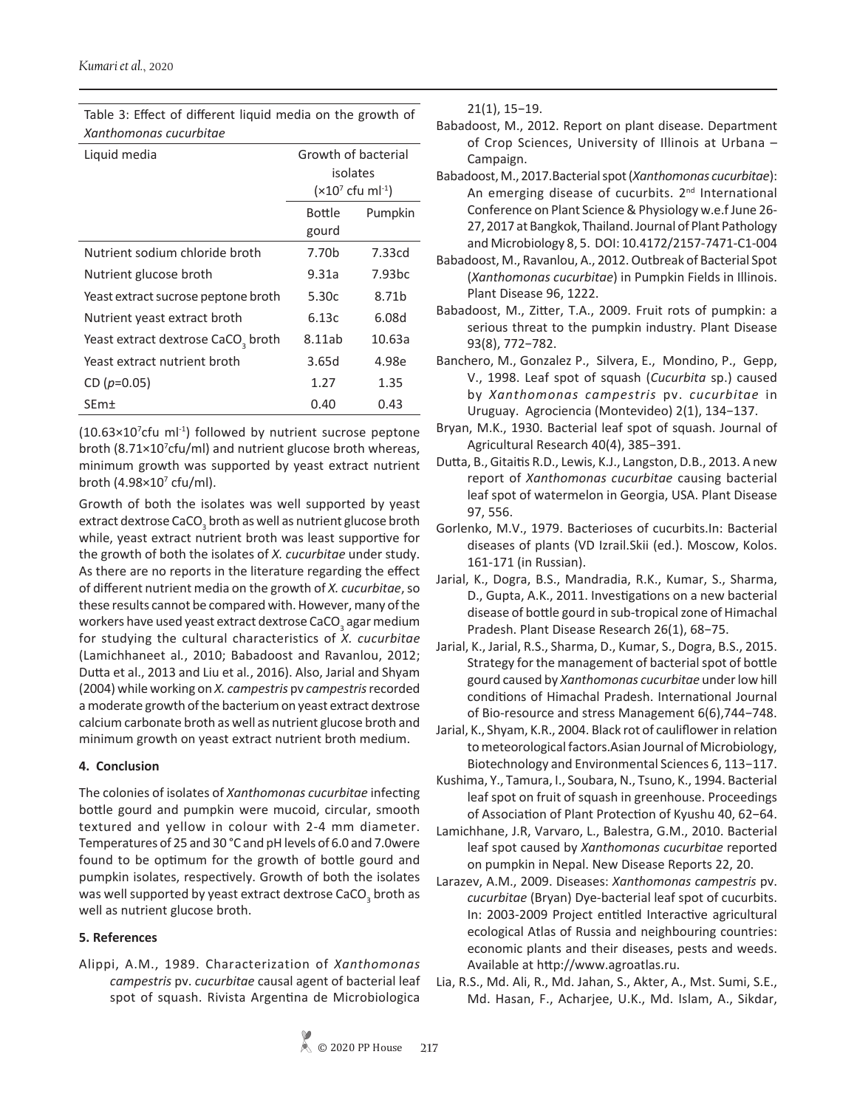Table 3: Effect of different liquid media on the growth of *Xanthomonas cucurbitae*

| Liquid media                                   | Growth of bacterial<br>isolates<br>$(x10^7 \text{ cft} \text{ ml}^{-1})$ |                    |
|------------------------------------------------|--------------------------------------------------------------------------|--------------------|
|                                                | <b>Bottle</b><br>Pumpkin                                                 |                    |
|                                                | gourd                                                                    |                    |
| Nutrient sodium chloride broth                 | 7.70b                                                                    | 7.33cd             |
| Nutrient glucose broth                         | 9.31a                                                                    | 7.93 <sub>bc</sub> |
| Yeast extract sucrose peptone broth            | 5.30c                                                                    | 8.71 <sub>b</sub>  |
| Nutrient yeast extract broth                   | 6.13c                                                                    | 6.08d              |
| Yeast extract dextrose CaCO <sub>2</sub> broth | 8.11ab                                                                   | 10.63a             |
| Yeast extract nutrient broth                   | 3.65d                                                                    | 4.98e              |
| CD $(p=0.05)$                                  | 1.27                                                                     | 1.35               |
| <b>SEm</b> <sup>+</sup>                        | 0.40                                                                     | 0.43               |

 $(10.63 \times 10^{7}$ cfu ml<sup>-1</sup>) followed by nutrient sucrose peptone broth (8.71×10<sup>7</sup>cfu/ml) and nutrient glucose broth whereas, minimum growth was supported by yeast extract nutrient broth (4.98×10<sup>7</sup> cfu/ml).

Growth of both the isolates was well supported by yeast extract dextrose CaCO<sub>3</sub> broth as well as nutrient glucose broth while, yeast extract nutrient broth was least supportive for the growth of both the isolates of *X. cucurbitae* under study. As there are no reports in the literature regarding the effect of different nutrient media on the growth of *X. cucurbitae*, so these results cannot be compared with. However, many of the workers have used yeast extract dextrose CaCO $_{\tiny 3}$  agar medium for studying the cultural characteristics of *X. cucurbitae* (Lamichhaneet al*.*, 2010; Babadoost and Ravanlou, 2012; Dutta et al., 2013 and Liu et al*.*, 2016). Also, Jarial and Shyam (2004) while working on *X. campestris* pv *campestris* recorded a moderate growth of the bacterium on yeast extract dextrose calcium carbonate broth as well as nutrient glucose broth and minimum growth on yeast extract nutrient broth medium.

## **4. Conclusion**

The colonies of isolates of *Xanthomonas cucurbitae* infecting bottle gourd and pumpkin were mucoid, circular, smooth textured and yellow in colour with 2-4 mm diameter. Temperatures of 25 and 30 °C and pH levels of 6.0 and 7.0were found to be optimum for the growth of bottle gourd and pumpkin isolates, respectively. Growth of both the isolates was well supported by yeast extract dextrose CaCO<sub>3</sub> broth as well as nutrient glucose broth.

## **5. References**

Alippi, A.M., 1989. Characterization of *Xanthomonas campestris* pv. *cucurbitae* causal agent of bacterial leaf spot of squash. Rivista Argentina de Microbiologica

21(1), 15−19.

- Babadoost, M., 2012. Report on plant disease. Department of Crop Sciences, University of Illinois at Urbana – Campaign.
- Babadoost, M., 2017.Bacterial spot (*Xanthomonas cucurbitae*): An emerging disease of cucurbits. 2<sup>nd</sup> International Conference on Plant Science & Physiology w.e.f June 26- 27, 2017 at Bangkok, Thailand.Journal of Plant Pathology and Microbiology 8, 5. DOI: 10.4172/2157-7471-C1-004
- Babadoost, M., Ravanlou, A., 2012. Outbreak of Bacterial Spot (*Xanthomonas cucurbitae*) in Pumpkin Fields in Illinois. Plant Disease 96, 1222.
- Babadoost, M., Zitter, T.A., 2009. Fruit rots of pumpkin: a serious threat to the pumpkin industry. Plant Disease 93(8), 772−782.
- Banchero, M., Gonzalez P., Silvera, E., Mondino, P., Gepp, V., 1998. Leaf spot of squash (*Cucurbita* sp.) caused by *Xanthomonas campestris* pv. *cucurbitae* in Uruguay. Agrociencia (Montevideo) 2(1), 134−137.
- Bryan, M.K., 1930. Bacterial leaf spot of squash. Journal of Agricultural Research 40(4), 385−391.
- Dutta, B., Gitaitis R.D., Lewis, K.J., Langston, D.B., 2013. A new report of *Xanthomonas cucurbitae* causing bacterial leaf spot of watermelon in Georgia, USA. Plant Disease 97, 556.
- Gorlenko, M.V., 1979. Bacterioses of cucurbits.In: Bacterial diseases of plants (VD Izrail.Skii (ed.). Moscow, Kolos. 161-171 (in Russian).
- Jarial, K., Dogra, B.S., Mandradia, R.K., Kumar, S., Sharma, D., Gupta, A.K., 2011. Investigations on a new bacterial disease of bottle gourd in sub-tropical zone of Himachal Pradesh. Plant Disease Research 26(1), 68−75.
- Jarial, K., Jarial, R.S., Sharma, D., Kumar, S., Dogra, B.S., 2015. Strategy for the management of bacterial spot of bottle gourd caused by *Xanthomonas cucurbitae* under low hill conditions of Himachal Pradesh. International Journal of Bio-resource and stress Management 6(6),744−748.
- Jarial, K., Shyam, K.R., 2004. Black rot of cauliflower in relation to meteorological factors.Asian Journal of Microbiology, Biotechnology and Environmental Sciences 6, 113−117.
- Kushima, Y., Tamura, I., Soubara, N., Tsuno, K., 1994. Bacterial leaf spot on fruit of squash in greenhouse. Proceedings of Association of Plant Protection of Kyushu 40, 62−64.
- Lamichhane, J.R, Varvaro, L., Balestra, G.M., 2010. Bacterial leaf spot caused by *Xanthomonas cucurbitae* reported on pumpkin in Nepal. New Disease Reports 22, 20.
- Larazev, A.M., 2009. Diseases: *Xanthomonas campestris* pv. *cucurbitae* (Bryan) Dye-bacterial leaf spot of cucurbits. In: 2003-2009 Project entitled Interactive agricultural ecological Atlas of Russia and neighbouring countries: economic plants and their diseases, pests and weeds. Available at http://www.agroatlas.ru.
- Lia, R.S., Md. Ali, R., Md. Jahan, S., Akter, A., Mst. Sumi, S.E., Md. Hasan, F., Acharjee, U.K., Md. Islam, A., Sikdar,